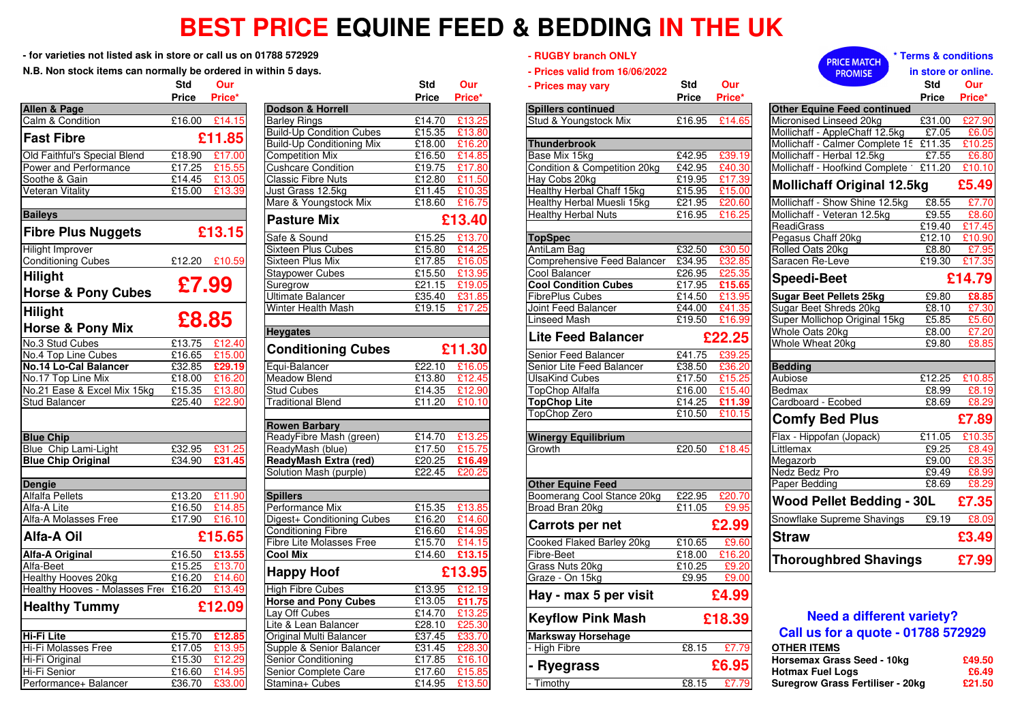## **BEST PRICE EQUINE FEED & BEDDING IN THE UK**

**- for varieties not listed ask in store or call us on 01788 572929**

**N.B. Non stock items can normally be ordered in within 5 days.**

|                                       | Std          | Our           |                            |
|---------------------------------------|--------------|---------------|----------------------------|
|                                       | <b>Price</b> | Price*        |                            |
| <b>Allen &amp; Page</b>               |              |               | Dodson & Horrell           |
| Calm & Condition                      |              | £16.00 £14.15 | <b>Barley Rings</b>        |
| <b>Fast Fibre</b>                     |              | £11.85        | <b>Build-Up Condition</b>  |
|                                       |              |               | <b>Build-Up Conditioni</b> |
| Old Faithful's Special Blend          | £18.90       | £17.00        | <b>Competition Mix</b>     |
| Power and Performance                 | £17.25       | £15.55        | <b>Cushcare Condition</b>  |
| Soothe & Gain                         | £14.45       | £13.05        | <b>Classic Fibre Nuts</b>  |
| <b>Veteran Vitality</b>               | £15.00       | £13.39        | Just Grass 12.5kg          |
|                                       |              |               | Mare & Youngstock          |
| <b>Baileys</b>                        |              |               | <b>Pasture Mix</b>         |
| <b>Fibre Plus Nuggets</b>             |              | £13.15        | Safe & Sound               |
| <b>Hilight Improver</b>               |              |               | Sixteen Plus Cubes         |
| <b>Conditioning Cubes</b>             | £12.20       | £10.59        | Sixteen Plus Mix           |
| <b>Hilight</b>                        |              |               | <b>Staypower Cubes</b>     |
|                                       | £7.99        |               | Suregrow                   |
| <b>Horse &amp; Pony Cubes</b>         |              |               | <b>Ultimate Balancer</b>   |
| <b>Hilight</b>                        |              |               | Winter Health Mash         |
|                                       | £8.85        |               |                            |
| <b>Horse &amp; Pony Mix</b>           |              |               | <b>Heygates</b>            |
| No.3 Stud Cubes                       | £13.75       | £12.40        | <b>Conditioning</b>        |
| No.4 Top Line Cubes                   | £16.65       | £15.00        |                            |
| <b>No.14 Lo-Cal Balancer</b>          | £32.85       | £29.19        | Equi-Balancer              |
| No.17 Top Line Mix                    | £18.00       | £16.20        | <b>Meadow Blend</b>        |
| No.21 Ease & Excel Mix 15kg           | £15.35       | £13.80        | <b>Stud Cubes</b>          |
| <b>Stud Balancer</b>                  | £25.40       | £22.90        | <b>Traditional Blend</b>   |
|                                       |              |               | <b>Rowen Barbary</b>       |
| <b>Blue Chip</b>                      |              |               | ReadyFibre Mash (          |
| Blue Chip Lami-Light                  | £32.95       | £31.25        | ReadyMash (blue)           |
| <b>Blue Chip Original</b>             | £34.90       | £31.45        | <b>ReadyMash Extra</b>     |
|                                       |              |               | Solution Mash (purp        |
| <b>Dengie</b>                         |              |               |                            |
| <b>Alfalfa Pellets</b>                | £13.20       | £11.90        | <b>Spillers</b>            |
| Alfa-A Lite                           | £16.50       | £14.85        | Performance Mix            |
| Alfa-A Molasses Free                  | £17.90       | £16.10        | Digest+ Conditionin        |
| Alfa-A Oil                            |              | £15.65        | <b>Conditioning Fibre</b>  |
|                                       |              |               | <b>Fibre Lite Molasses</b> |
| <b>Alfa-A Original</b>                | £16.50       | £13.55        | <b>Cool Mix</b>            |
| Alfa-Beet                             | £15.25       | £13.70        | <b>Happy Hoof</b>          |
| <b>Healthy Hooves 20kg</b>            | £16.20       | £14.60        |                            |
| Healthy Hooves - Molasses Free £16.20 |              | £13.49        | <b>High Fibre Cubes</b>    |
|                                       |              | £12.09        | <b>Horse and Pony C</b>    |
| <b>Healthy Tummy</b>                  |              |               | Lay Off Cubes              |
|                                       |              |               | Lite & Lean Balance        |
| <b>Hi-Fi Lite</b>                     | £15.70       | £12.85        | Original Multi Balan       |
| Hi-Fi Molasses Free                   | £17.05       | £13.95        | Supple & Senior Ba         |
| Hi-Fi Original                        | £15.30       | £12.29        | <b>Senior Conditioning</b> |
| Hi-Fi Senior                          | £16.60       | £14.95        | Senior Complete Ca         |
| Performance+ Balancer                 | £36.70       | £33.00        | Stamina+ Cubes             |

|                                 |            |               |                                                        |                  |                  |                                             |              |                 | エハンル                               |
|---------------------------------|------------|---------------|--------------------------------------------------------|------------------|------------------|---------------------------------------------|--------------|-----------------|------------------------------------|
|                                 | <b>Std</b> | Our           |                                                        | Std              | <b>Our</b>       | - Prices may vary                           | Std          | Our             |                                    |
|                                 | Price      | Price*        |                                                        | <b>Price</b>     | Price*           |                                             | <b>Price</b> | Price*          |                                    |
| & Page                          |            |               | Dodson & Horrell                                       |                  |                  | <b>Spillers continued</b>                   |              |                 | <b>Other Equine Feed</b>           |
| & Condition                     | £16.00     | £14.15        | <b>Barley Rings</b>                                    | £14.70           | £13.25           | Stud & Youngstock Mix                       | £16.95       | £14.65          | <b>Micronised Linseed</b>          |
| <b>Fibre</b>                    |            | £11.85        | <b>Build-Up Condition Cubes</b>                        | £15.35           | £13.80           |                                             |              |                 | Mollichaff - AppleCl               |
|                                 |            |               | <b>Build-Up Conditioning Mix</b>                       | £18.00           | £16.20           | <b>Thunderbrook</b>                         |              |                 | Mollichaff - Calmer                |
| aithful's Special Blend         |            | £18.90 £17.00 | <b>Competition Mix</b>                                 | £16.50           | £14.85           | Base Mix 15kg                               | £42.95       | £39.19          | Mollichaff - Herbal 1              |
| and Performance                 | £17.25     | £15.55        | <b>Cushcare Condition</b>                              | £19.75           | £17.80           | Condition & Competition 20kg                | £42.95       | £40.30          | Mollichaff - Hoofkin               |
| e & Gain                        | £14.45     | £13.05        | <b>Classic Fibre Nuts</b>                              | £12.80           | £11.50           | Hay Cobs 20kg                               | £19.95       | £17.39          | <b>Mollichaff Orig</b>             |
| ın Vitality                     | £15.00     | £13.39        | Just Grass 12.5kg                                      | £11.45           | £10.35           | Healthy Herbal Chaff 15kg                   | £15.95       | £15.00          |                                    |
|                                 |            |               | Mare & Youngstock Mix                                  | £18.60           | £16.75           | Healthy Herbal Muesli 15kg                  | £21.95       | £20.60          | Mollichaff - Show S                |
| 'S                              |            |               | <b>Pasture Mix</b>                                     |                  | £13.40           | <b>Healthy Herbal Nuts</b>                  | £16.95       | £16.25          | Mollichaff - Veteran<br>ReadiGrass |
| <b>Plus Nuggets</b>             |            | £13.15        | Safe & Sound                                           | £15.25           | £13.70           | <b>TopSpec</b>                              |              |                 | Pegasus Chaff 20kg                 |
| Improver                        |            |               | <b>Sixteen Plus Cubes</b>                              | £15.80           | £14.25           | AntiLam Bag                                 | £32.50       | £30.50          | Rolled Oats 20kg                   |
| ioning Cubes                    |            | £12.20 £10.59 | Sixteen Plus Mix                                       | £17.85           | £16.05           | Comprehensive Feed Balancer                 | £34.95       | £32.85          | Saracen Re-Leve                    |
|                                 |            |               | <b>Staypower Cubes</b>                                 | £15.50           | £13.95           | Cool Balancer                               | £26.95       | £25.35          |                                    |
| ht                              |            | £7.99         | Suregrow                                               | £21.15           | £19.05           | <b>Cool Condition Cubes</b>                 | £17.95       | £15.65          | <b>Speedi-Beet</b>                 |
| e & Pony Cubes                  |            |               | <b>Ultimate Balancer</b>                               | £35.40           | £31.85           | <b>FibrePlus Cubes</b>                      | £14.50       | £13.95          | <b>Sugar Beet Pellets</b>          |
| ht                              |            |               | Winter Health Mash                                     | £19.15           | £17.2            | Joint Feed Balancer                         | £44.00       | £41.35          | <b>Sugar Beet Shreds</b>           |
|                                 |            | £8.85         |                                                        |                  |                  | <b>Linseed Mash</b>                         | £19.50       | £16.99          | Super Mollichop Or                 |
| e & Pony Mix                    |            |               | <b>Heygates</b>                                        |                  |                  |                                             |              |                 | Whole Oats 20kg                    |
| Stud Cubes                      |            | £13.75 £12.40 |                                                        |                  |                  | <b>Lite Feed Balancer</b>                   |              | £22.25          | Whole Wheat 20kg                   |
| op Line Cubes                   | £16.65     | £15.00        | <b>Conditioning Cubes</b>                              |                  | £11.30           | Senior Feed Balancer                        | £41.75       | £39.25          |                                    |
| Lo-Cal Balancer                 | £32.85     | £29.19        | Equi-Balancer                                          |                  | £22.10 £16.05    | Senior Lite Feed Balancer                   | £38.50       | £36.20          | <b>Bedding</b>                     |
| Top Line Mix                    | £18.00     | £16.20        | <b>Meadow Blend</b>                                    | £13.80           | £12.45           | <b>UlsaKind Cubes</b>                       | £17.50       | £15.25          | Aubiose                            |
| Ease & Excel Mix 15kg           | £15.35     | £13.80        | <b>Stud Cubes</b>                                      | £14.35           | £12.90           | <b>TopChop Alfalfa</b>                      | £16.00       | £15.40          | Bedmax                             |
| <b>Balancer</b>                 | £25.40     | £22.90        | <b>Traditional Blend</b>                               | £11.20           | £10.10           | <b>TopChop Lite</b>                         | £14.25       | £11.39          | Cardboard - Ecobe                  |
|                                 |            |               |                                                        |                  |                  | TopChop Zero                                | £10.50       | £10.15          |                                    |
|                                 |            |               | <b>Rowen Barbary</b>                                   |                  |                  |                                             |              |                 | <b>Comfy Bed P</b>                 |
| <b>Chip</b>                     |            |               | ReadyFibre Mash (green)                                | £14.70           | £13.25           | <b>Winergy Equilibrium</b>                  |              |                 | Flax - Hippofan (Jor               |
| Chip Lami-Light                 |            | £32.95 £31.25 | ReadyMash (blue)                                       | £17.50           | £15.75           | Growth                                      | £20.50       | £18.45          | Littlemax                          |
| Chip Original                   | £34.90     | £31.45        | <b>ReadyMash Extra (red)</b>                           | £20.25           | £16.49           |                                             |              |                 | Megazorb                           |
|                                 |            |               | Solution Mash (purple)                                 | £22.45           | £20.25           |                                             |              |                 | Nedz Bedz Pro                      |
| е                               |            |               |                                                        |                  |                  | <b>Other Equine Feed</b>                    |              |                 | Paper Bedding                      |
| Pellets                         |            | £13.20 £11.90 | <b>Spillers</b>                                        |                  |                  | Boomerang Cool Stance 20kg                  | £22.95       | £20.70          | <b>Wood Pellet B</b>               |
| Lite                            | £16.50     | £14.85        | Performance Mix                                        | £15.35           | £13.85           | Broad Bran 20kg                             | £11.05       | £9.95           |                                    |
| Molasses Free                   | £17.90     | £16.10        | Digest+ Conditioning Cubes                             | £16.20           | £14.60           | Carrots per net                             |              | £2.99           | Snowflake Supreme                  |
| A Oil                           |            | £15.65        | <b>Conditioning Fibre</b>                              | £16.60           | £14.95           |                                             |              |                 | <b>Straw</b>                       |
|                                 |            |               | Fibre Lite Molasses Free                               | £15.70           | £14.15           | Cooked Flaked Barley 20kg                   | £10.65       | £9.60           |                                    |
| <b>Original</b>                 |            | £16.50 £13.55 | <b>Cool Mix</b>                                        | £14.60           | £13.15           | Fibre-Beet                                  | £18.00       | £16.20          | Thoroughbred                       |
| eet                             | £15.25     | £13.70        | <b>Happy Hoof</b>                                      |                  | £13.95           | Grass Nuts 20kg                             | £10.25       | £9.20           |                                    |
| y Hooves 20kg                   | £16.20     | £14.60        |                                                        |                  |                  | Graze - On 15kg                             | £9.95        | £9.00           |                                    |
| y Hooves - Molasses Free £16.20 |            | £13.49        | <b>High Fibre Cubes</b><br><b>Horse and Pony Cubes</b> | £13.95<br>£13.05 | £12.19<br>£11.75 | Hay - max 5 per visit                       |              | £4.99           |                                    |
| thy Tummy                       |            | £12.09        | Lay Off Cubes                                          | £14.70           | £13.2            | <b>Keyflow Pink Mash</b>                    |              | £18.39          | Need a c                           |
|                                 |            |               | Lite & Lean Balancer                                   | £28.10           | £25.30           |                                             |              |                 |                                    |
| -ite                            |            | £15.70 £12.85 | <b>Original Multi Balancer</b>                         | £37.45           | £33.70           | <b>Marksway Horsehage</b>                   |              |                 | Call us for a                      |
| Molasses Free                   |            | £17.05 £13.95 | Supple & Senior Balancer                               | £31.45           | £28.30           | High Fibre                                  | £8.15        | £7.79           | <b>OTHER ITEMS</b>                 |
| )riginal                        | £15.30     | £12.29        | Senior Conditioning                                    | £17.85           | £16.10           | - Ryegrass                                  |              | £6.95           | <b>Horsemax Grass S</b>            |
| Senior                          | £16.60     | £14.95        | Senior Complete Care                                   | £17.60           | £15.85           |                                             |              |                 | <b>Hotmax Fuel Logs</b>            |
| $n = 1$                         |            |               |                                                        | $0.4A$ OF        |                  | $T_{\text{total}}$ where $T_{\text{total}}$ |              | $0.945 - 0.770$ | <b>CONSTRUCTION</b>                |

| arieties not listed ask in store or call us on 01788 572929 |                 |               |                                                 |        |                | - RUGBY branch ONLY                  |              |        | <b>PRICE MATCH</b>                     | lerms & conditions  |                 |
|-------------------------------------------------------------|-----------------|---------------|-------------------------------------------------|--------|----------------|--------------------------------------|--------------|--------|----------------------------------------|---------------------|-----------------|
| on stock items can normally be ordered in within 5 days.    |                 |               |                                                 |        |                | - Prices valid from 16/06/2022       |              |        | <b>PROMISE</b>                         | in store or online. |                 |
|                                                             | <b>Std</b>      | Our           |                                                 | Std    | Our            | - Prices may vary                    | <b>Std</b>   | Our    |                                        | <b>Std</b>          | <b>Our</b>      |
|                                                             | Price           | Price*        |                                                 | Price  | Price*         |                                      | <b>Price</b> | Price* |                                        | <b>Price</b>        | Price*          |
| Page                                                        |                 |               | <b>Dodson &amp; Horrell</b>                     |        |                | <b>Spillers continued</b>            |              |        | <b>Other Equine Feed continued</b>     |                     |                 |
| Condition                                                   | £16.00          | £14.15        | <b>Barley Rings</b>                             | £14.70 | £13.2          | Stud & Youngstock Mix                | £16.95       | £14.65 | Micronised Linseed 20kg                | £31.00              | £27.90          |
| <b>Fibre</b>                                                |                 | £11.85        | <b>Build-Up Condition Cubes</b>                 | £15.35 | £13.8          |                                      |              |        | Mollichaff - AppleChaff 12.5kg         | £7.05               | £6.05           |
|                                                             |                 |               | <b>Build-Up Conditioning Mix</b>                | £18.00 | £16.2          | <b>Thunderbrook</b>                  |              |        | Mollichaff - Calmer Complete 15 £11.35 |                     | £10.25          |
| ithful's Special Blend                                      | £18.90          | £17.00        | <b>Competition Mix</b>                          | £16.50 | £14.8          | Base Mix 15kg                        | £42.95       | £39.19 | Mollichaff - Herbal 12.5kg             | £7.55               | £6.80           |
| and Performance                                             | £17.25          | £15.55        | <b>Cushcare Condition</b>                       | £19.75 | £17.8          | Condition & Competition 20kg         | £42.95       | £40.30 | Mollichaff - Hoofkind Complete         | £11.20              | £10.10          |
| & Gain                                                      | £14.45          | £13.0         | <b>Classic Fibre Nuts</b>                       | £12.80 | £11.5          | Hay Cobs 20kg                        | £19.95       | £17.39 | <b>Mollichaff Original 12.5kg</b>      |                     | £5.49           |
| n Vitality                                                  | £15.00          | £13.39        | Just Grass 12.5kg                               | £11.45 | £10.3          | Healthy Herbal Chaff 15kg            | £15.95       | £15.00 |                                        |                     |                 |
|                                                             |                 |               | Mare & Youngstock Mix                           | £18.60 | £16.7          | Healthy Herbal Muesli 15kg           | £21.95       | £20.60 | Mollichaff - Show Shine 12.5kg         | £8.55               | £7.70           |
| s                                                           |                 |               | <b>Pasture Mix</b>                              |        | £13.40         | <b>Healthy Herbal Nuts</b>           | £16.95       | £16.25 | Mollichaff - Veteran 12.5kg            | £9.55               | £8.60           |
| <b>Plus Nuggets</b>                                         |                 | £13.15        |                                                 |        |                |                                      |              |        | ReadiGrass                             | £19.40              | £17.45          |
|                                                             |                 |               | Safe & Sound                                    | £15.25 | £13.70         | <b>TopSpec</b>                       |              |        | Pegasus Chaff 20kg                     | £12.10              | £10.90          |
| Improver                                                    |                 |               | <b>Sixteen Plus Cubes</b>                       | £15.80 | £14.2          | AntiLam Bag                          | £32.50       | £30.50 | Rolled Oats 20kg                       | £8.80               | £7.95           |
| ioning Cubes                                                |                 | £12.20 £10.59 | Sixteen Plus Mix                                | £17.85 | £16.0          | Comprehensive Feed Balancer          | £34.95       | £32.85 | Saracen Re-Leve                        | £19.30              | £17.35          |
| ht                                                          |                 |               | <b>Staypower Cubes</b>                          | £15.50 | £13.9          | Cool Balancer                        | £26.95       | £25.35 | <b>Speedi-Beet</b>                     |                     | £14.79          |
| e & Pony Cubes                                              |                 | £7.99         | Suregrow                                        | £21.15 | £19.0          | <b>Cool Condition Cubes</b>          | £17.95       | £15.65 |                                        |                     |                 |
|                                                             |                 |               | Ultimate Balancer                               | £35.40 | £31.8          | FibrePlus Cubes                      | £14.50       | £13.95 | <b>Sugar Beet Pellets 25kg</b>         | £9.80               | £8.85           |
| ht                                                          |                 |               | Winter Health Mash                              | £19.15 | £17.2          | <b>Joint Feed Balancer</b>           | £44.00       | £41.35 | Sugar Beet Shreds 20kg                 | £8.10               | £7.30           |
| e & Pony Mix                                                |                 | £8.85         |                                                 |        |                | Linseed Mash                         | £19.50       | £16.99 | Super Mollichop Original 15kg          | £5.85               | £5.60           |
|                                                             |                 |               | <b>Heygates</b>                                 |        |                | <b>Lite Feed Balancer</b>            |              | £22.25 | Whole Oats 20kg                        | £8.00               | £7.20           |
| tud Cubes                                                   | £13.75          | £12.40        | <b>Conditioning Cubes</b>                       |        | £11.30         |                                      |              |        | Whole Wheat 20kg                       | £9.80               | £8.85           |
| op Line Cubes                                               | £16.65          | £15.00        |                                                 |        |                | Senior Feed Balancer                 | £41.75       | £39.25 |                                        |                     |                 |
| <b>Lo-Cal Balancer</b>                                      | £32.85          | £29.19        | Equi-Balancer                                   |        | £22.10 £16.0   | Senior Lite Feed Balancer            | £38.50       | £36.20 | <b>Bedding</b>                         |                     |                 |
| Top Line Mix                                                | £18.00          | £16.20        | Meadow Blend                                    | £13.80 | £12.45         | UlsaKind Cubes                       | £17.50       | £15.25 | Aubiose                                | £12.25              | £10.85          |
| Ease & Excel Mix 15kg                                       | £15.35          | £13.80        | <b>Stud Cubes</b>                               | £14.35 | £12.90         | <b>TopChop Alfalfa</b>               | £16.00       | £15.40 | Bedmax                                 | £8.99               | £8.19           |
| alancer                                                     | £25.40          | £22.90        | <b>Traditional Blend</b>                        | £11.20 | £10.10         | <b>TopChop Lite</b>                  | £14.25       | £11.39 | Cardboard - Ecobed                     | £8.69               | £8.29           |
|                                                             |                 |               |                                                 |        |                | TopChop Zero                         | £10.50       | £10.15 | <b>Comfy Bed Plus</b>                  |                     | £7.89           |
|                                                             |                 |               | <b>Rowen Barbary</b><br>ReadyFibre Mash (green) | £14.70 |                |                                      |              |        | Flax - Hippofan (Jopack)               |                     |                 |
| hip:<br>hip Lami-Light                                      | £32.95          | £31.25        | ReadyMash (blue)                                | £17.50 | £13.2<br>£15.7 | <b>Winergy Equilibrium</b><br>Growth | £20.50       | £18.45 | Littlemax                              | £11.05<br>£9.25     | £10.35<br>£8.49 |
|                                                             | £34.90          | £31.45        |                                                 | £20.25 | £16.4          |                                      |              |        | Megazorb                               | £9.00               | £8.3            |
| hip Original:                                               |                 |               | ReadyMash Extra (red)<br>Solution Mash (purple) | £22.45 | £20.2          |                                      |              |        | Nedz Bedz Pro                          | £9.49               | £8.99           |
|                                                             |                 |               |                                                 |        |                | <b>Other Equine Feed</b>             |              |        | Paper Bedding                          | £8.69               | £8.29           |
| Pellets                                                     | £13.20          | £11.90        | <b>Spillers</b>                                 |        |                | Boomerang Cool Stance 20kg           | £22.95       | £20.70 |                                        |                     |                 |
| Lite                                                        | £16.50          | £14.85        | Performance Mix                                 | £15.35 | £13.8          | Broad Bran 20kg                      | £11.05       | £9.95  | Wood Pellet Bedding - 30L              |                     | £7.35           |
| Molasses Free                                               | £17.90          | £16.10        | Digest+ Conditioning Cubes                      | £16.20 | £14.6          |                                      |              |        | Snowflake Supreme Shavings             | £9.19               | £8.09           |
|                                                             |                 |               | <b>Conditioning Fibre</b>                       | £16.60 | £14.9          | Carrots per net                      |              | £2.99  |                                        |                     |                 |
| A Oil                                                       |                 | £15.65        | <b>Fibre Lite Molasses Free</b>                 | £15.70 | £14.1          | Cooked Flaked Barley 20kg            | £10.65       | £9.60  | <b>Straw</b>                           |                     | £3.49           |
| Original                                                    | £16.50          | £13.55        | <b>Cool Mix</b>                                 | £14.60 | £13.1          | Fibre-Beet                           | £18.00       | £16.20 |                                        |                     |                 |
| eet                                                         | £15.25          | £13.70        |                                                 |        |                | Grass Nuts 20kg                      | £10.25       | £9.20  | <b>Thoroughbred Shavings</b>           |                     | £7.99           |
| y Hooves 20kg                                               | £16.20          | £14.60        | <b>Happy Hoof</b>                               |        | £13.95         | Graze - On 15kg                      | £9.95        | £9.00  |                                        |                     |                 |
| y Hooves - Molasses Free £16.20                             |                 | £13.49        | <b>High Fibre Cubes</b>                         |        | £13.95 £12.19  |                                      |              |        |                                        |                     |                 |
|                                                             |                 |               | <b>Horse and Pony Cubes</b>                     | £13.05 | £11.7          | Hay - max 5 per visit                |              | £4.99  |                                        |                     |                 |
| thy Tummy                                                   |                 | £12.09        | ay Off Cubes                                    | £14.70 | £13.2          |                                      |              |        |                                        |                     |                 |
|                                                             |                 |               | Lite & Lean Balancer                            | £28.10 | £25.3          | <b>Keyflow Pink Mash</b>             |              | £18.39 | <b>Need a different variety?</b>       |                     |                 |
| .ite                                                        | £15.70          | £12.85        | Original Multi Balancer                         | £37.45 | £33.70         | <b>Marksway Horsehage</b>            |              |        | Call us for a quote - 01788 572929     |                     |                 |
| lolasses Free                                               | $\sqrt{217.05}$ | £13.95        | Supple & Senior Balancer                        | £31.45 | £28.3          | - High Fibre                         | £8.15        | £7.79  | <b>OTHER ITEMS</b>                     |                     |                 |
| riginal                                                     | £15.30          | £12.29        | Senior Conditioning                             | £17.85 | £16.10         |                                      |              |        | Horsemax Grass Seed - 10kg             |                     | £49.50          |
| enior                                                       | £16.60          | £14.95        | Senior Complete Care                            | £17.60 | £15.85         | Ryegrass                             |              | £6.95  | <b>Hotmax Fuel Logs</b>                |                     | £6.49           |
|                                                             |                 |               |                                                 |        |                |                                      |              |        |                                        |                     |                 |

| Y branch ONLY                    |                  |                 | * Terms & conditions<br><b>PRICE MATCH</b>   |        |
|----------------------------------|------------------|-----------------|----------------------------------------------|--------|
| valid from 16/06/2022            |                  |                 | in store or online.<br><b>PROMISE</b>        |        |
| may vary                         | Std              | Our             | Std                                          | Our    |
|                                  | <b>Price</b>     | Price*          | <b>Price</b>                                 | Price* |
| continued                        |                  |                 | <b>Other Equine Feed continued</b>           |        |
| oungstock Mix                    | £16.95           | £14.65          | E31.00<br>Micronised Linseed 20kg            | £27.90 |
|                                  |                  |                 | Mollichaff - AppleChaff 12.5kg<br>£7.05      | £6.05  |
| rbrook                           |                  |                 | Mollichaff - Calmer Complete 15 £11.35       | £10.25 |
| $x$ 15 $kg$                      | £42.95           | £39.19          | Mollichaff - Herbal 12.5kg<br>£7.55          | £6.80  |
| n & Competition 20kg             | £42.95           | £40.30          | Mollichaff - Hoofkind Complete<br>£11.20     | £10.10 |
| งs 20kg                          | £19.95           | £17.39          | <b>Mollichaff Original 12.5kg</b>            | £5.49  |
| Herbal Chaff 15kg                | £15.95           | £15.00          |                                              |        |
| Herbal Muesli 15kg               | £21.95           | £20.60          | Mollichaff - Show Shine 12.5kg<br>£8.55      | £7.70  |
| <b>Herbal Nuts</b>               | £16.95           | £16.25          | Mollichaff - Veteran 12.5kg<br>£9.55         | £8.60  |
|                                  |                  |                 | ReadiGrass<br>E19.40                         | £17.45 |
| C                                |                  |                 | Pegasus Chaff 20kg<br>£12.10                 | £10.90 |
| <b>Bag</b>                       | £32.50           | £30.50          | Rolled Oats 20kg<br>E8.80                    | £7.95  |
| hensive Feed Balancer            | £34.95           | £32.85          | Saracen Re-Leve<br>£19.30                    | £17.35 |
| lancer                           | £26.95           | £25.35          | <b>Speedi-Beet</b>                           | £14.79 |
| <b>Indition Cubes</b>            | £17.95           | £15.65          |                                              |        |
| s Cubes                          | £14.50           | £13.95          | £9.80<br><b>Sugar Beet Pellets 25kg</b>      | £8.85  |
| ed Balancer                      | £44.00           | £41.35          | $\overline{£8.10}$<br>Sugar Beet Shreds 20kg | £7.30  |
| Mash                             | £19.50           | £16.99          | £5.85<br>Super Mollichop Original 15kg       | £5.60  |
| eed Balancer                     |                  | £22.25          | Whole Oats 20kg<br>£8.00                     | £7.20  |
|                                  |                  |                 | Whole Wheat 20kg<br>£9.80                    | £8.85  |
| eed Balancer                     | £41.75           | £39.25          |                                              |        |
| ite Feed Balancer                | £38.50           | £36.20          | <b>Bedding</b>                               |        |
| J Cubes                          | £17.50           | £15.25          | Aubiose<br>£12.25                            | £10.85 |
| p Alfalfa                        | £16.00           | £15.40          | £8.99<br>Bedmax                              | £8.19  |
| p Lite                           | £14.25           | £11.39          | Cardboard - Ecobed<br>£8.69                  | £8.29  |
| p Zero                           | £10.50           | £10.15          | <b>Comfy Bed Plus</b>                        | £7.89  |
| <b>Equilibrium</b>               |                  |                 | Flax - Hippofan (Jopack)<br>E11.05           | £10.35 |
|                                  | £20.50           | £18.45          | £9.25<br>Littlemax                           | £8.49  |
|                                  |                  |                 | £9.00<br>Megazorb                            | £8.35  |
|                                  |                  |                 | Nedz Bedz Pro<br>£9.49                       | £8.99  |
| quine Feed                       |                  |                 | Paper Bedding<br>£8.69                       | £8.29  |
| ang Cool Stance 20kg<br>ran 20kg | £22.95<br>£11.05 | £20.70<br>£9.95 | <b>Wood Pellet Bedding - 30L</b>             | £7.35  |
|                                  |                  |                 | Snowflake Supreme Shavings<br>£9.19          | £8.09  |
| ts per net                       |                  | £2.99           | <b>Straw</b>                                 | £3.49  |
| Flaked Barley 20kg               | £10.65           | £9.60           |                                              |        |
| et                               | £18.00           | £16.20          | <b>Thoroughbred Shavings</b>                 | £7.99  |
| uts 20kg                         | £10.25           | £9.20           |                                              |        |

## **Need a different variety?Call us for a quote - 01788 572929**

| ≂⊥ບ.ວບ | <b>OUDDE &amp; OCHIOL DAIAHUST</b> | 201.40         | . ده. ه      | 11911<br>. ו וטו ב | 20. I J | VINEN II EMƏ                                           |        |
|--------|------------------------------------|----------------|--------------|--------------------|---------|--------------------------------------------------------|--------|
| £12.29 | Senior Conditioning                | £17.85         | £16.10       |                    |         | 10kg<br><b>Horsemax Grass Seed</b>                     | £49.50 |
| £14.95 | Senior<br>r Complete Care          | £17.60         | 04E0E<br>. . | <b>Rvegrass</b>    |         | <b>Hotmax Fuel Logs</b>                                | £6.49  |
| £33.00 | Stamina+<br>Cubes                  | 0.40<br>£14.95 |              | <b>imothy</b>      | £8.15   | 20 <sub>kg</sub><br><b>Suregrow Grass Fertiliser -</b> | £21.50 |